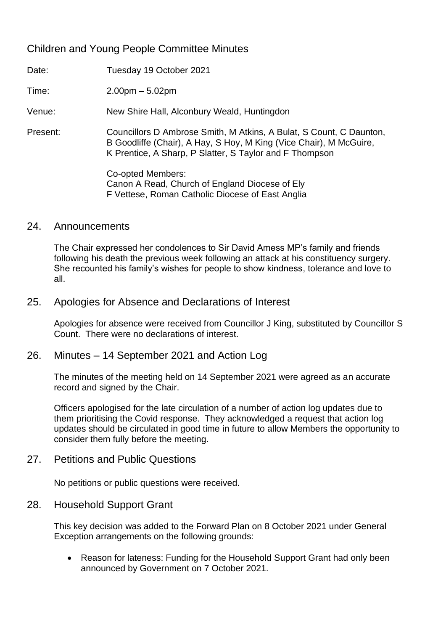# Children and Young People Committee Minutes

Date: Tuesday 19 October 2021

Time: 2.00pm – 5.02pm

Venue: New Shire Hall, Alconbury Weald, Huntingdon

Present: Councillors D Ambrose Smith, M Atkins, A Bulat, S Count, C Daunton, B Goodliffe (Chair), A Hay, S Hoy, M King (Vice Chair), M McGuire, K Prentice, A Sharp, P Slatter, S Taylor and F Thompson

> Co-opted Members: Canon A Read, Church of England Diocese of Ely F Vettese, Roman Catholic Diocese of East Anglia

#### 24. Announcements

The Chair expressed her condolences to Sir David Amess MP's family and friends following his death the previous week following an attack at his constituency surgery. She recounted his family's wishes for people to show kindness, tolerance and love to all.

### 25. Apologies for Absence and Declarations of Interest

Apologies for absence were received from Councillor J King, substituted by Councillor S Count. There were no declarations of interest.

### 26. Minutes – 14 September 2021 and Action Log

The minutes of the meeting held on 14 September 2021 were agreed as an accurate record and signed by the Chair.

Officers apologised for the late circulation of a number of action log updates due to them prioritising the Covid response. They acknowledged a request that action log updates should be circulated in good time in future to allow Members the opportunity to consider them fully before the meeting.

### 27. Petitions and Public Questions

No petitions or public questions were received.

### 28. Household Support Grant

This key decision was added to the Forward Plan on 8 October 2021 under General Exception arrangements on the following grounds:

• Reason for lateness: Funding for the Household Support Grant had only been announced by Government on 7 October 2021.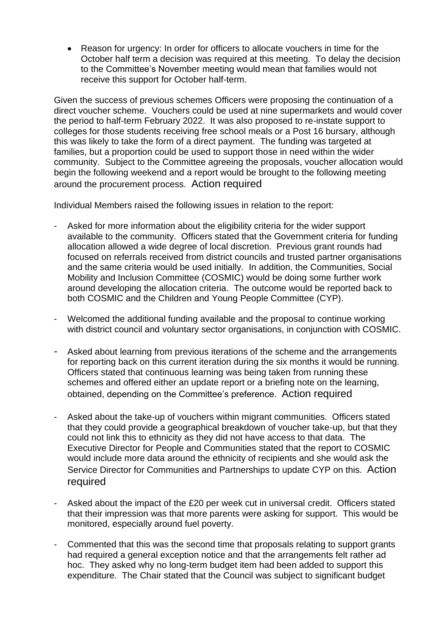• Reason for urgency: In order for officers to allocate vouchers in time for the October half term a decision was required at this meeting. To delay the decision to the Committee's November meeting would mean that families would not receive this support for October half-term.

Given the success of previous schemes Officers were proposing the continuation of a direct voucher scheme. Vouchers could be used at nine supermarkets and would cover the period to half-term February 2022. It was also proposed to re-instate support to colleges for those students receiving free school meals or a Post 16 bursary, although this was likely to take the form of a direct payment. The funding was targeted at families, but a proportion could be used to support those in need within the wider community. Subject to the Committee agreeing the proposals, voucher allocation would begin the following weekend and a report would be brought to the following meeting around the procurement process. Action required

Individual Members raised the following issues in relation to the report:

- Asked for more information about the eligibility criteria for the wider support available to the community. Officers stated that the Government criteria for funding allocation allowed a wide degree of local discretion. Previous grant rounds had focused on referrals received from district councils and trusted partner organisations and the same criteria would be used initially. In addition, the Communities, Social Mobility and Inclusion Committee (COSMIC) would be doing some further work around developing the allocation criteria. The outcome would be reported back to both COSMIC and the Children and Young People Committee (CYP).
- Welcomed the additional funding available and the proposal to continue working with district council and voluntary sector organisations, in conjunction with COSMIC.
- Asked about learning from previous iterations of the scheme and the arrangements for reporting back on this current iteration during the six months it would be running. Officers stated that continuous learning was being taken from running these schemes and offered either an update report or a briefing note on the learning, obtained, depending on the Committee's preference. Action required
- Asked about the take-up of vouchers within migrant communities. Officers stated that they could provide a geographical breakdown of voucher take-up, but that they could not link this to ethnicity as they did not have access to that data. The Executive Director for People and Communities stated that the report to COSMIC would include more data around the ethnicity of recipients and she would ask the Service Director for Communities and Partnerships to update CYP on this. Action required
- Asked about the impact of the £20 per week cut in universal credit. Officers stated that their impression was that more parents were asking for support. This would be monitored, especially around fuel poverty.
- Commented that this was the second time that proposals relating to support grants had required a general exception notice and that the arrangements felt rather ad hoc. They asked why no long-term budget item had been added to support this expenditure. The Chair stated that the Council was subject to significant budget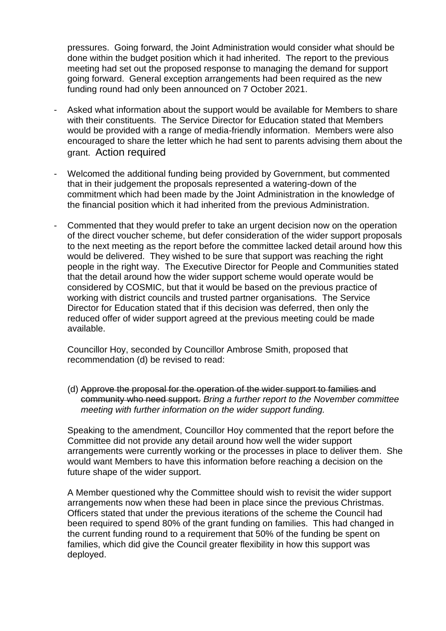pressures. Going forward, the Joint Administration would consider what should be done within the budget position which it had inherited. The report to the previous meeting had set out the proposed response to managing the demand for support going forward. General exception arrangements had been required as the new funding round had only been announced on 7 October 2021.

- Asked what information about the support would be available for Members to share with their constituents. The Service Director for Education stated that Members would be provided with a range of media-friendly information. Members were also encouraged to share the letter which he had sent to parents advising them about the grant. Action required
- Welcomed the additional funding being provided by Government, but commented that in their judgement the proposals represented a watering-down of the commitment which had been made by the Joint Administration in the knowledge of the financial position which it had inherited from the previous Administration.
- Commented that they would prefer to take an urgent decision now on the operation of the direct voucher scheme, but defer consideration of the wider support proposals to the next meeting as the report before the committee lacked detail around how this would be delivered. They wished to be sure that support was reaching the right people in the right way. The Executive Director for People and Communities stated that the detail around how the wider support scheme would operate would be considered by COSMIC, but that it would be based on the previous practice of working with district councils and trusted partner organisations. The Service Director for Education stated that if this decision was deferred, then only the reduced offer of wider support agreed at the previous meeting could be made available.

Councillor Hoy, seconded by Councillor Ambrose Smith, proposed that recommendation (d) be revised to read:

(d) Approve the proposal for the operation of the wider support to families and community who need support. *Bring a further report to the November committee meeting with further information on the wider support funding.*

Speaking to the amendment, Councillor Hoy commented that the report before the Committee did not provide any detail around how well the wider support arrangements were currently working or the processes in place to deliver them. She would want Members to have this information before reaching a decision on the future shape of the wider support.

A Member questioned why the Committee should wish to revisit the wider support arrangements now when these had been in place since the previous Christmas. Officers stated that under the previous iterations of the scheme the Council had been required to spend 80% of the grant funding on families. This had changed in the current funding round to a requirement that 50% of the funding be spent on families, which did give the Council greater flexibility in how this support was deployed.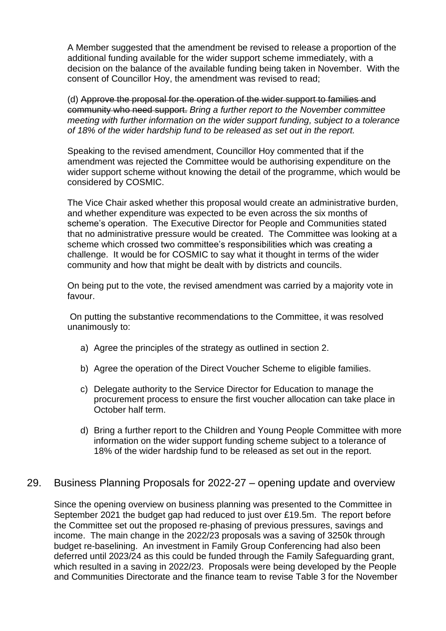A Member suggested that the amendment be revised to release a proportion of the additional funding available for the wider support scheme immediately, with a decision on the balance of the available funding being taken in November. With the consent of Councillor Hoy, the amendment was revised to read;

(d) Approve the proposal for the operation of the wider support to families and community who need support. *Bring a further report to the November committee meeting with further information on the wider support funding, subject to a tolerance of 18% of the wider hardship fund to be released as set out in the report.* 

Speaking to the revised amendment, Councillor Hoy commented that if the amendment was rejected the Committee would be authorising expenditure on the wider support scheme without knowing the detail of the programme, which would be considered by COSMIC.

The Vice Chair asked whether this proposal would create an administrative burden, and whether expenditure was expected to be even across the six months of scheme's operation. The Executive Director for People and Communities stated that no administrative pressure would be created. The Committee was looking at a scheme which crossed two committee's responsibilities which was creating a challenge. It would be for COSMIC to say what it thought in terms of the wider community and how that might be dealt with by districts and councils.

On being put to the vote, the revised amendment was carried by a majority vote in favour.

On putting the substantive recommendations to the Committee, it was resolved unanimously to:

- a) Agree the principles of the strategy as outlined in section 2.
- b) Agree the operation of the Direct Voucher Scheme to eligible families.
- c) Delegate authority to the Service Director for Education to manage the procurement process to ensure the first voucher allocation can take place in October half term.
- d) Bring a further report to the Children and Young People Committee with more information on the wider support funding scheme subject to a tolerance of 18% of the wider hardship fund to be released as set out in the report.

## 29. Business Planning Proposals for 2022-27 – opening update and overview

Since the opening overview on business planning was presented to the Committee in September 2021 the budget gap had reduced to just over £19.5m. The report before the Committee set out the proposed re-phasing of previous pressures, savings and income. The main change in the 2022/23 proposals was a saving of 3250k through budget re-baselining. An investment in Family Group Conferencing had also been deferred until 2023/24 as this could be funded through the Family Safeguarding grant, which resulted in a saving in 2022/23. Proposals were being developed by the People and Communities Directorate and the finance team to revise Table 3 for the November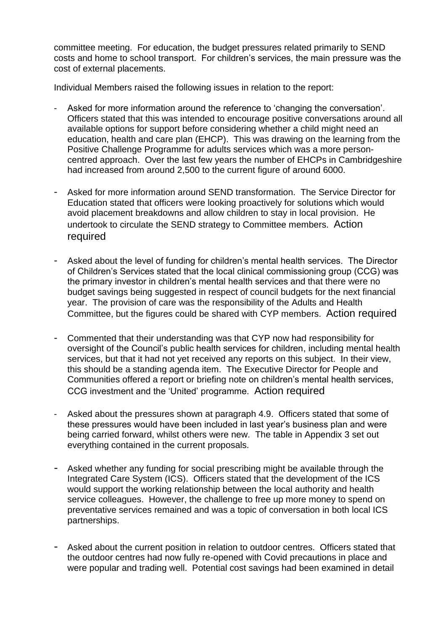committee meeting. For education, the budget pressures related primarily to SEND costs and home to school transport. For children's services, the main pressure was the cost of external placements.

Individual Members raised the following issues in relation to the report:

- Asked for more information around the reference to 'changing the conversation'. Officers stated that this was intended to encourage positive conversations around all available options for support before considering whether a child might need an education, health and care plan (EHCP). This was drawing on the learning from the Positive Challenge Programme for adults services which was a more personcentred approach. Over the last few years the number of EHCPs in Cambridgeshire had increased from around 2,500 to the current figure of around 6000.
- Asked for more information around SEND transformation. The Service Director for Education stated that officers were looking proactively for solutions which would avoid placement breakdowns and allow children to stay in local provision. He undertook to circulate the SEND strategy to Committee members. Action required
- Asked about the level of funding for children's mental health services. The Director of Children's Services stated that the local clinical commissioning group (CCG) was the primary investor in children's mental health services and that there were no budget savings being suggested in respect of council budgets for the next financial year. The provision of care was the responsibility of the Adults and Health Committee, but the figures could be shared with CYP members. Action required
- Commented that their understanding was that CYP now had responsibility for oversight of the Council's public health services for children, including mental health services, but that it had not yet received any reports on this subject. In their view, this should be a standing agenda item. The Executive Director for People and Communities offered a report or briefing note on children's mental health services, CCG investment and the 'United' programme. Action required
- Asked about the pressures shown at paragraph 4.9. Officers stated that some of these pressures would have been included in last year's business plan and were being carried forward, whilst others were new. The table in Appendix 3 set out everything contained in the current proposals.
- Asked whether any funding for social prescribing might be available through the Integrated Care System (ICS). Officers stated that the development of the ICS would support the working relationship between the local authority and health service colleagues. However, the challenge to free up more money to spend on preventative services remained and was a topic of conversation in both local ICS partnerships.
- Asked about the current position in relation to outdoor centres. Officers stated that the outdoor centres had now fully re-opened with Covid precautions in place and were popular and trading well. Potential cost savings had been examined in detail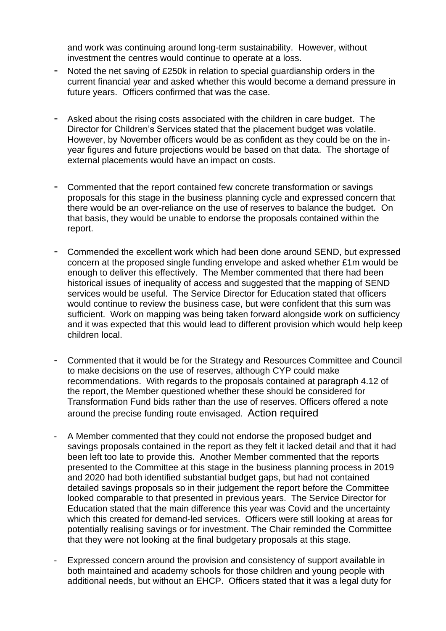and work was continuing around long-term sustainability. However, without investment the centres would continue to operate at a loss.

- Noted the net saving of £250k in relation to special guardianship orders in the current financial year and asked whether this would become a demand pressure in future years. Officers confirmed that was the case.
- Asked about the rising costs associated with the children in care budget. The Director for Children's Services stated that the placement budget was volatile. However, by November officers would be as confident as they could be on the inyear figures and future projections would be based on that data. The shortage of external placements would have an impact on costs.
- Commented that the report contained few concrete transformation or savings proposals for this stage in the business planning cycle and expressed concern that there would be an over-reliance on the use of reserves to balance the budget. On that basis, they would be unable to endorse the proposals contained within the report.
- Commended the excellent work which had been done around SEND, but expressed concern at the proposed single funding envelope and asked whether £1m would be enough to deliver this effectively. The Member commented that there had been historical issues of inequality of access and suggested that the mapping of SEND services would be useful. The Service Director for Education stated that officers would continue to review the business case, but were confident that this sum was sufficient. Work on mapping was being taken forward alongside work on sufficiency and it was expected that this would lead to different provision which would help keep children local.
- Commented that it would be for the Strategy and Resources Committee and Council to make decisions on the use of reserves, although CYP could make recommendations. With regards to the proposals contained at paragraph 4.12 of the report, the Member questioned whether these should be considered for Transformation Fund bids rather than the use of reserves. Officers offered a note around the precise funding route envisaged. Action required
- A Member commented that they could not endorse the proposed budget and savings proposals contained in the report as they felt it lacked detail and that it had been left too late to provide this. Another Member commented that the reports presented to the Committee at this stage in the business planning process in 2019 and 2020 had both identified substantial budget gaps, but had not contained detailed savings proposals so in their judgement the report before the Committee looked comparable to that presented in previous years. The Service Director for Education stated that the main difference this year was Covid and the uncertainty which this created for demand-led services. Officers were still looking at areas for potentially realising savings or for investment. The Chair reminded the Committee that they were not looking at the final budgetary proposals at this stage.
- Expressed concern around the provision and consistency of support available in both maintained and academy schools for those children and young people with additional needs, but without an EHCP. Officers stated that it was a legal duty for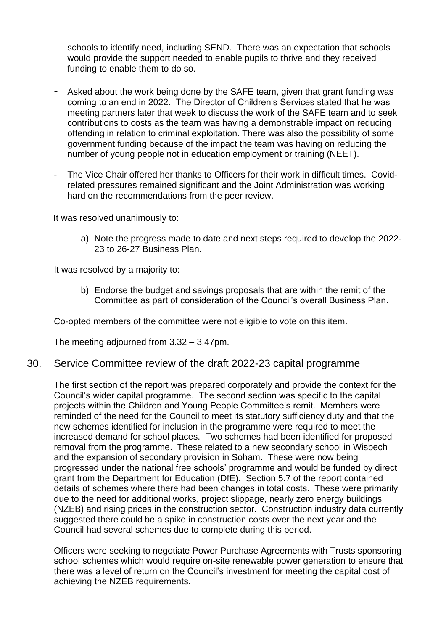schools to identify need, including SEND. There was an expectation that schools would provide the support needed to enable pupils to thrive and they received funding to enable them to do so.

- Asked about the work being done by the SAFE team, given that grant funding was coming to an end in 2022. The Director of Children's Services stated that he was meeting partners later that week to discuss the work of the SAFE team and to seek contributions to costs as the team was having a demonstrable impact on reducing offending in relation to criminal exploitation. There was also the possibility of some government funding because of the impact the team was having on reducing the number of young people not in education employment or training (NEET).
- The Vice Chair offered her thanks to Officers for their work in difficult times. Covidrelated pressures remained significant and the Joint Administration was working hard on the recommendations from the peer review.

It was resolved unanimously to:

a) Note the progress made to date and next steps required to develop the 2022- 23 to 26-27 Business Plan.

It was resolved by a majority to:

b) Endorse the budget and savings proposals that are within the remit of the Committee as part of consideration of the Council's overall Business Plan.

Co-opted members of the committee were not eligible to vote on this item.

The meeting adjourned from 3.32 – 3.47pm.

#### 30. Service Committee review of the draft 2022-23 capital programme

The first section of the report was prepared corporately and provide the context for the Council's wider capital programme. The second section was specific to the capital projects within the Children and Young People Committee's remit. Members were reminded of the need for the Council to meet its statutory sufficiency duty and that the new schemes identified for inclusion in the programme were required to meet the increased demand for school places. Two schemes had been identified for proposed removal from the programme. These related to a new secondary school in Wisbech and the expansion of secondary provision in Soham. These were now being progressed under the national free schools' programme and would be funded by direct grant from the Department for Education (DfE). Section 5.7 of the report contained details of schemes where there had been changes in total costs. These were primarily due to the need for additional works, project slippage, nearly zero energy buildings (NZEB) and rising prices in the construction sector. Construction industry data currently suggested there could be a spike in construction costs over the next year and the Council had several schemes due to complete during this period.

Officers were seeking to negotiate Power Purchase Agreements with Trusts sponsoring school schemes which would require on-site renewable power generation to ensure that there was a level of return on the Council's investment for meeting the capital cost of achieving the NZEB requirements.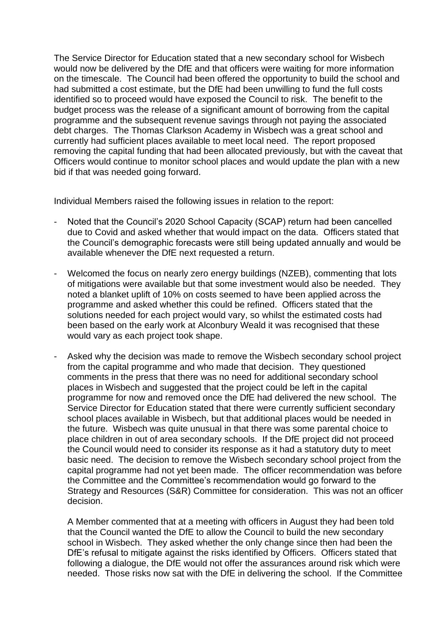The Service Director for Education stated that a new secondary school for Wisbech would now be delivered by the DfE and that officers were waiting for more information on the timescale. The Council had been offered the opportunity to build the school and had submitted a cost estimate, but the DfE had been unwilling to fund the full costs identified so to proceed would have exposed the Council to risk. The benefit to the budget process was the release of a significant amount of borrowing from the capital programme and the subsequent revenue savings through not paying the associated debt charges. The Thomas Clarkson Academy in Wisbech was a great school and currently had sufficient places available to meet local need. The report proposed removing the capital funding that had been allocated previously, but with the caveat that Officers would continue to monitor school places and would update the plan with a new bid if that was needed going forward.

Individual Members raised the following issues in relation to the report:

- Noted that the Council's 2020 School Capacity (SCAP) return had been cancelled due to Covid and asked whether that would impact on the data. Officers stated that the Council's demographic forecasts were still being updated annually and would be available whenever the DfE next requested a return.
- Welcomed the focus on nearly zero energy buildings (NZEB), commenting that lots of mitigations were available but that some investment would also be needed. They noted a blanket uplift of 10% on costs seemed to have been applied across the programme and asked whether this could be refined. Officers stated that the solutions needed for each project would vary, so whilst the estimated costs had been based on the early work at Alconbury Weald it was recognised that these would vary as each project took shape.
- Asked why the decision was made to remove the Wisbech secondary school project from the capital programme and who made that decision. They questioned comments in the press that there was no need for additional secondary school places in Wisbech and suggested that the project could be left in the capital programme for now and removed once the DfE had delivered the new school. The Service Director for Education stated that there were currently sufficient secondary school places available in Wisbech, but that additional places would be needed in the future. Wisbech was quite unusual in that there was some parental choice to place children in out of area secondary schools. If the DfE project did not proceed the Council would need to consider its response as it had a statutory duty to meet basic need. The decision to remove the Wisbech secondary school project from the capital programme had not yet been made. The officer recommendation was before the Committee and the Committee's recommendation would go forward to the Strategy and Resources (S&R) Committee for consideration. This was not an officer decision.

A Member commented that at a meeting with officers in August they had been told that the Council wanted the DfE to allow the Council to build the new secondary school in Wisbech. They asked whether the only change since then had been the DfE's refusal to mitigate against the risks identified by Officers. Officers stated that following a dialogue, the DfE would not offer the assurances around risk which were needed. Those risks now sat with the DfE in delivering the school. If the Committee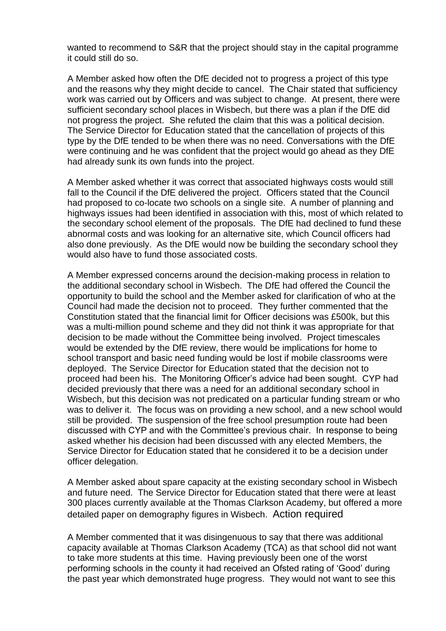wanted to recommend to S&R that the project should stay in the capital programme it could still do so.

A Member asked how often the DfE decided not to progress a project of this type and the reasons why they might decide to cancel. The Chair stated that sufficiency work was carried out by Officers and was subject to change. At present, there were sufficient secondary school places in Wisbech, but there was a plan if the DfE did not progress the project. She refuted the claim that this was a political decision. The Service Director for Education stated that the cancellation of projects of this type by the DfE tended to be when there was no need. Conversations with the DfE were continuing and he was confident that the project would go ahead as they DfE had already sunk its own funds into the project.

A Member asked whether it was correct that associated highways costs would still fall to the Council if the DfE delivered the project. Officers stated that the Council had proposed to co-locate two schools on a single site. A number of planning and highways issues had been identified in association with this, most of which related to the secondary school element of the proposals. The DfE had declined to fund these abnormal costs and was looking for an alternative site, which Council officers had also done previously. As the DfE would now be building the secondary school they would also have to fund those associated costs.

A Member expressed concerns around the decision-making process in relation to the additional secondary school in Wisbech. The DfE had offered the Council the opportunity to build the school and the Member asked for clarification of who at the Council had made the decision not to proceed. They further commented that the Constitution stated that the financial limit for Officer decisions was £500k, but this was a multi-million pound scheme and they did not think it was appropriate for that decision to be made without the Committee being involved. Project timescales would be extended by the DfE review, there would be implications for home to school transport and basic need funding would be lost if mobile classrooms were deployed. The Service Director for Education stated that the decision not to proceed had been his. The Monitoring Officer's advice had been sought. CYP had decided previously that there was a need for an additional secondary school in Wisbech, but this decision was not predicated on a particular funding stream or who was to deliver it. The focus was on providing a new school, and a new school would still be provided. The suspension of the free school presumption route had been discussed with CYP and with the Committee's previous chair. In response to being asked whether his decision had been discussed with any elected Members, the Service Director for Education stated that he considered it to be a decision under officer delegation.

A Member asked about spare capacity at the existing secondary school in Wisbech and future need. The Service Director for Education stated that there were at least 300 places currently available at the Thomas Clarkson Academy, but offered a more detailed paper on demography figures in Wisbech. Action required

A Member commented that it was disingenuous to say that there was additional capacity available at Thomas Clarkson Academy (TCA) as that school did not want to take more students at this time. Having previously been one of the worst performing schools in the county it had received an Ofsted rating of 'Good' during the past year which demonstrated huge progress. They would not want to see this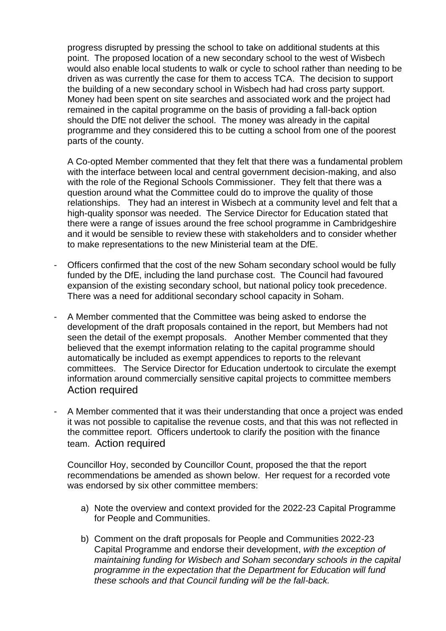progress disrupted by pressing the school to take on additional students at this point. The proposed location of a new secondary school to the west of Wisbech would also enable local students to walk or cycle to school rather than needing to be driven as was currently the case for them to access TCA. The decision to support the building of a new secondary school in Wisbech had had cross party support. Money had been spent on site searches and associated work and the project had remained in the capital programme on the basis of providing a fall-back option should the DfE not deliver the school. The money was already in the capital programme and they considered this to be cutting a school from one of the poorest parts of the county.

A Co-opted Member commented that they felt that there was a fundamental problem with the interface between local and central government decision-making, and also with the role of the Regional Schools Commissioner. They felt that there was a question around what the Committee could do to improve the quality of those relationships. They had an interest in Wisbech at a community level and felt that a high-quality sponsor was needed. The Service Director for Education stated that there were a range of issues around the free school programme in Cambridgeshire and it would be sensible to review these with stakeholders and to consider whether to make representations to the new Ministerial team at the DfE.

- Officers confirmed that the cost of the new Soham secondary school would be fully funded by the DfE, including the land purchase cost. The Council had favoured expansion of the existing secondary school, but national policy took precedence. There was a need for additional secondary school capacity in Soham.
- A Member commented that the Committee was being asked to endorse the development of the draft proposals contained in the report, but Members had not seen the detail of the exempt proposals. Another Member commented that they believed that the exempt information relating to the capital programme should automatically be included as exempt appendices to reports to the relevant committees. The Service Director for Education undertook to circulate the exempt information around commercially sensitive capital projects to committee members Action required
- A Member commented that it was their understanding that once a project was ended it was not possible to capitalise the revenue costs, and that this was not reflected in the committee report. Officers undertook to clarify the position with the finance team. Action required

Councillor Hoy, seconded by Councillor Count, proposed the that the report recommendations be amended as shown below. Her request for a recorded vote was endorsed by six other committee members:

- a) Note the overview and context provided for the 2022-23 Capital Programme for People and Communities.
- b) Comment on the draft proposals for People and Communities 2022-23 Capital Programme and endorse their development, *with the exception of maintaining funding for Wisbech and Soham secondary schools in the capital programme in the expectation that the Department for Education will fund these schools and that Council funding will be the fall-back.*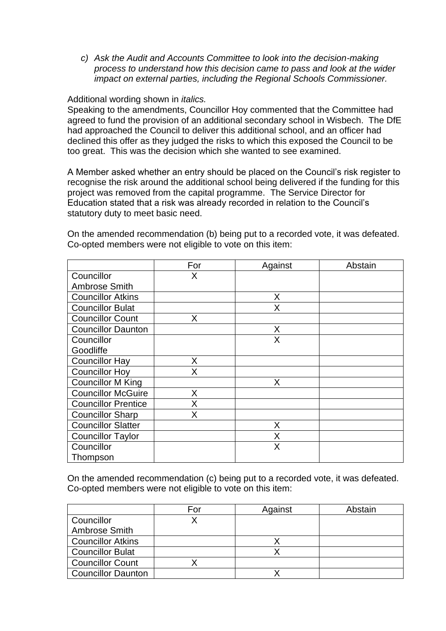*c) Ask the Audit and Accounts Committee to look into the decision-making process to understand how this decision came to pass and look at the wider impact on external parties, including the Regional Schools Commissioner.* 

Additional wording shown in *italics.*

Speaking to the amendments, Councillor Hoy commented that the Committee had agreed to fund the provision of an additional secondary school in Wisbech. The DfE had approached the Council to deliver this additional school, and an officer had declined this offer as they judged the risks to which this exposed the Council to be too great. This was the decision which she wanted to see examined.

A Member asked whether an entry should be placed on the Council's risk register to recognise the risk around the additional school being delivered if the funding for this project was removed from the capital programme. The Service Director for Education stated that a risk was already recorded in relation to the Council's statutory duty to meet basic need.

On the amended recommendation (b) being put to a recorded vote, it was defeated. Co-opted members were not eligible to vote on this item:

|                            | For | Against | Abstain |
|----------------------------|-----|---------|---------|
| Councillor                 | X   |         |         |
| <b>Ambrose Smith</b>       |     |         |         |
| <b>Councillor Atkins</b>   |     | X       |         |
| <b>Councillor Bulat</b>    |     | Χ       |         |
| <b>Councillor Count</b>    | X   |         |         |
| <b>Councillor Daunton</b>  |     | X       |         |
| Councillor                 |     | X       |         |
| Goodliffe                  |     |         |         |
| <b>Councillor Hay</b>      | X   |         |         |
| <b>Councillor Hoy</b>      | X   |         |         |
| <b>Councillor M King</b>   |     | Χ       |         |
| <b>Councillor McGuire</b>  | Χ   |         |         |
| <b>Councillor Prentice</b> | Χ   |         |         |
| <b>Councillor Sharp</b>    | Χ   |         |         |
| <b>Councillor Slatter</b>  |     | Χ       |         |
| <b>Councillor Taylor</b>   |     | Χ       |         |
| Councillor                 |     | X       |         |
| Thompson                   |     |         |         |

On the amended recommendation (c) being put to a recorded vote, it was defeated. Co-opted members were not eligible to vote on this item:

|                           | For | Against | Abstain |
|---------------------------|-----|---------|---------|
| Councillor                |     |         |         |
| Ambrose Smith             |     |         |         |
| <b>Councillor Atkins</b>  |     |         |         |
| <b>Councillor Bulat</b>   |     |         |         |
| <b>Councillor Count</b>   |     |         |         |
| <b>Councillor Daunton</b> |     |         |         |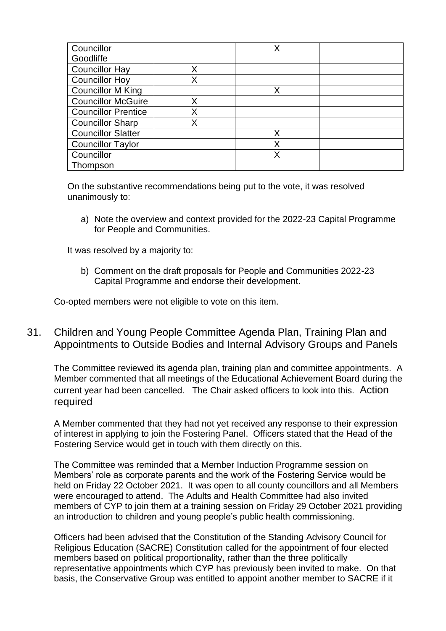| Councillor                 |   | Χ |  |
|----------------------------|---|---|--|
| Goodliffe                  |   |   |  |
| <b>Councillor Hay</b>      | X |   |  |
| <b>Councillor Hoy</b>      |   |   |  |
| <b>Councillor M King</b>   |   | Χ |  |
| <b>Councillor McGuire</b>  | Χ |   |  |
| <b>Councillor Prentice</b> |   |   |  |
| <b>Councillor Sharp</b>    |   |   |  |
| <b>Councillor Slatter</b>  |   | Χ |  |
| <b>Councillor Taylor</b>   |   | Χ |  |
| Councillor                 |   | Χ |  |
| Thompson                   |   |   |  |

On the substantive recommendations being put to the vote, it was resolved unanimously to:

a) Note the overview and context provided for the 2022-23 Capital Programme for People and Communities.

It was resolved by a majority to:

b) Comment on the draft proposals for People and Communities 2022-23 Capital Programme and endorse their development.

Co-opted members were not eligible to vote on this item.

31. Children and Young People Committee Agenda Plan, Training Plan and Appointments to Outside Bodies and Internal Advisory Groups and Panels

The Committee reviewed its agenda plan, training plan and committee appointments. A Member commented that all meetings of the Educational Achievement Board during the current year had been cancelled. The Chair asked officers to look into this. Action required

A Member commented that they had not yet received any response to their expression of interest in applying to join the Fostering Panel. Officers stated that the Head of the Fostering Service would get in touch with them directly on this.

The Committee was reminded that a Member Induction Programme session on Members' role as corporate parents and the work of the Fostering Service would be held on Friday 22 October 2021. It was open to all county councillors and all Members were encouraged to attend. The Adults and Health Committee had also invited members of CYP to join them at a training session on Friday 29 October 2021 providing an introduction to children and young people's public health commissioning.

Officers had been advised that the Constitution of the Standing Advisory Council for Religious Education (SACRE) Constitution called for the appointment of four elected members based on political proportionality, rather than the three politically representative appointments which CYP has previously been invited to make. On that basis, the Conservative Group was entitled to appoint another member to SACRE if it